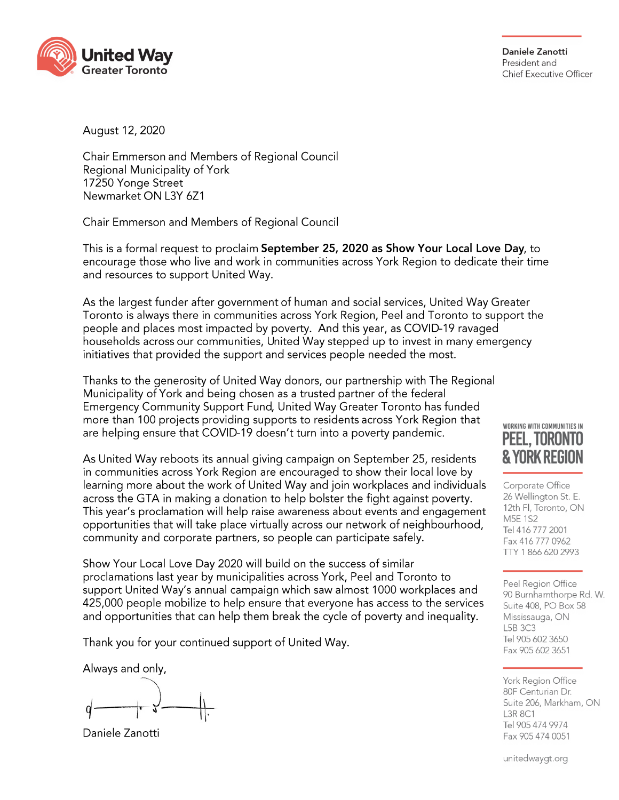

Daniele Zanotti President and Chief Executive Officer

August 12, 2020

Chair Emmerson and Members of Regional Council Regional Municipality of York 17250 Yonge Street Newmarket ON L3Y 6Z1

Chair Emmerson and Members of Regional Council

This is a formal request to proclaim September 25, 2020 as Show Your Local Love Day, to encourage those who live and work in communities across York Region to dedicate their time and resources to support United Way.

As the largest funder after government of human and social services, United Way Greater Toronto is always there in communities across York Region, Peel and Toronto to support the people and places most impacted by poverty. And this year, as COVID-19 ravaged households across our communities, United Way stepped up to invest in many emergency initiatives that provided the support and services people needed the most.

Thanks to the generosity of United Way donors, our partnership with The Regional Municipality of York and being chosen as a trusted partner of the federal Emergency Community Support Fund, United Way Greater Toronto has funded more than 100 projects providing supports to residents across York Region that are helping ensure that COVID-19 doesn't turn into a poverty pandemic.

As United Way reboots its annual giving campaign on September 25, residents in communities across York Region are encouraged to show their local love by learning more about the work of United Way and join workplaces and individuals across the GTA in making a donation to help bolster the fight against poverty. This year's proclamation will help raise awareness about events and engagement opportunities that will take place virtually across our network of neighbourhood, community and corporate partners, so people can participate safely.

Show Your Local Love Day 2020 will build on the success of similar proclamations last year by municipalities across York, Peel and Toronto to support United Way's annual campaign which saw almost 1000 workplaces and 425,000 people mobilize to help ensure that everyone has access to the services and opportunities that can help them break the cycle of poverty and inequality.

Thank you for your continued support of United Way.

Always and only,

Daniele Zanotti

## WORKING WITH COMMUNITIES IN PEEL. TORONTO **& YORK REGIO**

Corporate Office 26 Wellington St. E. 12th Fl. Toronto, ON **M5E 1S2** Tel 416 777 2001 Fax 416 777 0962 TTY 1 866 620 2993

Peel Region Office 90 Burnhamthorpe Rd. W. Suite 408, PO Box 58 Mississauga, ON L5B 3C3 Tel 905 602 3650 Fax 905 602 3651

York Region Office 80F Centurian Dr. Suite 206, Markham, ON **L3R 8C1** Tel 905 474 9974 Fax 905 474 0051

unitedwaygt.org